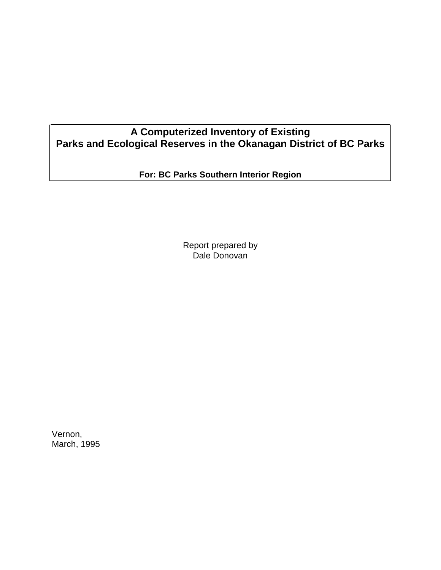# **A Computerized Inventory of Existing Parks and Ecological Reserves in the Okanagan District of BC Parks**

**For: BC Parks Southern Interior Region**

Report prepared by Dale Donovan

Vernon, March, 1995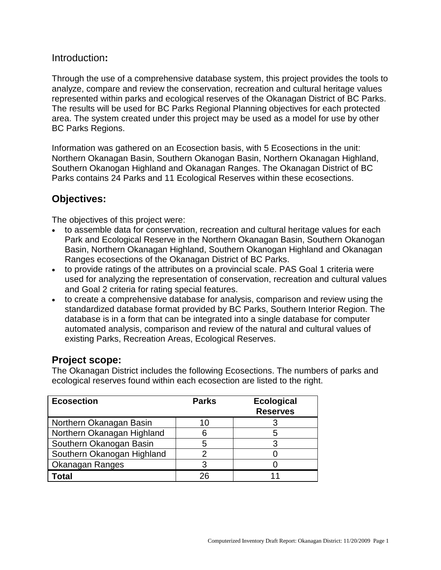### Introduction**:**

Through the use of a comprehensive database system, this project provides the tools to analyze, compare and review the conservation, recreation and cultural heritage values represented within parks and ecological reserves of the Okanagan District of BC Parks. The results will be used for BC Parks Regional Planning objectives for each protected area. The system created under this project may be used as a model for use by other BC Parks Regions.

Information was gathered on an Ecosection basis, with 5 Ecosections in the unit: Northern Okanagan Basin, Southern Okanogan Basin, Northern Okanagan Highland, Southern Okanogan Highland and Okanagan Ranges. The Okanagan District of BC Parks contains 24 Parks and 11 Ecological Reserves within these ecosections.

## **Objectives:**

The objectives of this project were:

- to assemble data for conservation, recreation and cultural heritage values for each Park and Ecological Reserve in the Northern Okanagan Basin, Southern Okanogan Basin, Northern Okanagan Highland, Southern Okanogan Highland and Okanagan Ranges ecosections of the Okanagan District of BC Parks.
- to provide ratings of the attributes on a provincial scale. PAS Goal 1 criteria were used for analyzing the representation of conservation, recreation and cultural values and Goal 2 criteria for rating special features.
- to create a comprehensive database for analysis, comparison and review using the standardized database format provided by BC Parks, Southern Interior Region. The database is in a form that can be integrated into a single database for computer automated analysis, comparison and review of the natural and cultural values of existing Parks, Recreation Areas, Ecological Reserves.

### **Project scope:**

The Okanagan District includes the following Ecosections. The numbers of parks and ecological reserves found within each ecosection are listed to the right.

| <b>Ecosection</b>          | <b>Parks</b> | <b>Ecological</b><br><b>Reserves</b> |
|----------------------------|--------------|--------------------------------------|
| Northern Okanagan Basin    | 10           |                                      |
| Northern Okanagan Highland |              | 5                                    |
| Southern Okanogan Basin    | 5            |                                      |
| Southern Okanogan Highland |              |                                      |
| Okanagan Ranges            |              |                                      |
| 'otal                      |              |                                      |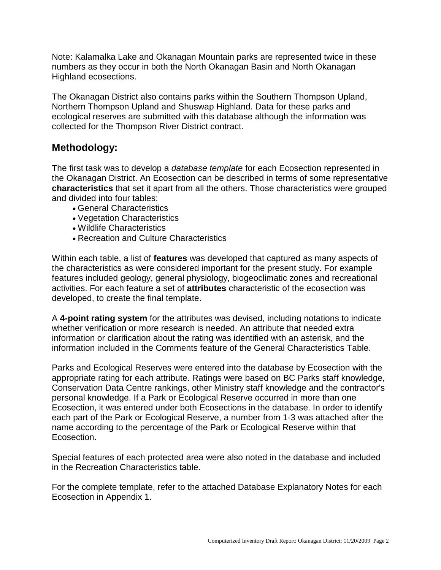Note: Kalamalka Lake and Okanagan Mountain parks are represented twice in these numbers as they occur in both the North Okanagan Basin and North Okanagan Highland ecosections.

The Okanagan District also contains parks within the Southern Thompson Upland, Northern Thompson Upland and Shuswap Highland. Data for these parks and ecological reserves are submitted with this database although the information was collected for the Thompson River District contract.

## **Methodology:**

The first task was to develop a *database template* for each Ecosection represented in the Okanagan District. An Ecosection can be described in terms of some representative **characteristics** that set it apart from all the others. Those characteristics were grouped and divided into four tables:

- General Characteristics
- Vegetation Characteristics
- Wildlife Characteristics
- Recreation and Culture Characteristics

Within each table, a list of **features** was developed that captured as many aspects of the characteristics as were considered important for the present study. For example features included geology, general physiology, biogeoclimatic zones and recreational activities. For each feature a set of **attributes** characteristic of the ecosection was developed, to create the final template.

A **4-point rating system** for the attributes was devised, including notations to indicate whether verification or more research is needed. An attribute that needed extra information or clarification about the rating was identified with an asterisk, and the information included in the Comments feature of the General Characteristics Table.

Parks and Ecological Reserves were entered into the database by Ecosection with the appropriate rating for each attribute. Ratings were based on BC Parks staff knowledge, Conservation Data Centre rankings, other Ministry staff knowledge and the contractor's personal knowledge. If a Park or Ecological Reserve occurred in more than one Ecosection, it was entered under both Ecosections in the database. In order to identify each part of the Park or Ecological Reserve, a number from 1-3 was attached after the name according to the percentage of the Park or Ecological Reserve within that Ecosection.

Special features of each protected area were also noted in the database and included in the Recreation Characteristics table.

For the complete template, refer to the attached Database Explanatory Notes for each Ecosection in Appendix 1.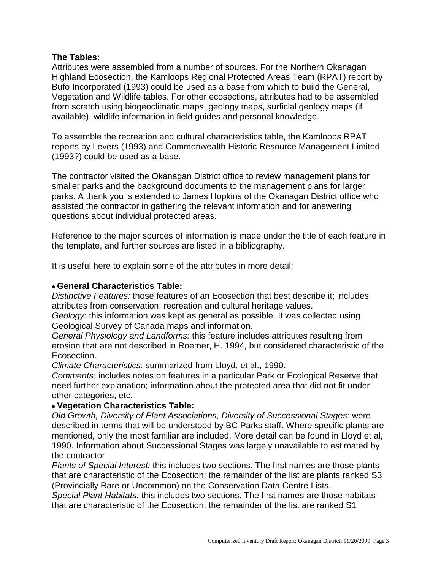#### **The Tables:**

Attributes were assembled from a number of sources. For the Northern Okanagan Highland Ecosection, the Kamloops Regional Protected Areas Team (RPAT) report by Bufo Incorporated (1993) could be used as a base from which to build the General, Vegetation and Wildlife tables. For other ecosections, attributes had to be assembled from scratch using biogeoclimatic maps, geology maps, surficial geology maps (if available), wildlife information in field guides and personal knowledge.

To assemble the recreation and cultural characteristics table, the Kamloops RPAT reports by Levers (1993) and Commonwealth Historic Resource Management Limited (1993?) could be used as a base.

The contractor visited the Okanagan District office to review management plans for smaller parks and the background documents to the management plans for larger parks. A thank you is extended to James Hopkins of the Okanagan District office who assisted the contractor in gathering the relevant information and for answering questions about individual protected areas.

Reference to the major sources of information is made under the title of each feature in the template, and further sources are listed in a bibliography.

It is useful here to explain some of the attributes in more detail:

#### • **General Characteristics Table:**

*Distinctive Features:* those features of an Ecosection that best describe it; includes attributes from conservation, recreation and cultural heritage values.

*Geology:* this information was kept as general as possible. It was collected using Geological Survey of Canada maps and information.

*General Physiology and Landforms:* this feature includes attributes resulting from erosion that are not described in Roemer, H. 1994, but considered characteristic of the Ecosection.

*Climate Characteristics:* summarized from Lloyd, et al., 1990.

*Comments:* includes notes on features in a particular Park or Ecological Reserve that need further explanation; information about the protected area that did not fit under other categories; etc.

#### • **Vegetation Characteristics Table:**

*Old Growth, Diversity of Plant Associations, Diversity of Successional Stages:* were described in terms that will be understood by BC Parks staff. Where specific plants are mentioned, only the most familiar are included. More detail can be found in Lloyd et al, 1990. Information about Successional Stages was largely unavailable to estimated by the contractor.

*Plants of Special Interest:* this includes two sections. The first names are those plants that are characteristic of the Ecosection; the remainder of the list are plants ranked S3 (Provincially Rare or Uncommon) on the Conservation Data Centre Lists.

*Special Plant Habitats:* this includes two sections. The first names are those habitats that are characteristic of the Ecosection; the remainder of the list are ranked S1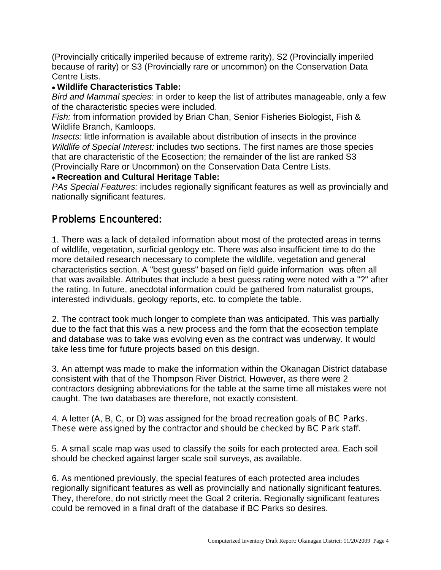(Provincially critically imperiled because of extreme rarity), S2 (Provincially imperiled because of rarity) or S3 (Provincially rare or uncommon) on the Conservation Data Centre Lists.

### • **Wildlife Characteristics Table:**

*Bird and Mammal species:* in order to keep the list of attributes manageable, only a few of the characteristic species were included.

*Fish:* from information provided by Brian Chan, Senior Fisheries Biologist, Fish & Wildlife Branch, Kamloops.

*Insects:* little information is available about distribution of insects in the province *Wildlife of Special Interest:* includes two sections. The first names are those species that are characteristic of the Ecosection; the remainder of the list are ranked S3 (Provincially Rare or Uncommon) on the Conservation Data Centre Lists.

### • **Recreation and Cultural Heritage Table:**

*PAs Special Features:* includes regionally significant features as well as provincially and nationally significant features.

# Problems Encountered:

1. There was a lack of detailed information about most of the protected areas in terms of wildlife, vegetation, surficial geology etc. There was also insufficient time to do the more detailed research necessary to complete the wildlife, vegetation and general characteristics section. A "best guess" based on field guide information was often all that was available. Attributes that include a best guess rating were noted with a "?" after the rating. In future, anecdotal information could be gathered from naturalist groups, interested individuals, geology reports, etc. to complete the table.

2. The contract took much longer to complete than was anticipated. This was partially due to the fact that this was a new process and the form that the ecosection template and database was to take was evolving even as the contract was underway. It would take less time for future projects based on this design.

3. An attempt was made to make the information within the Okanagan District database consistent with that of the Thompson River District. However, as there were 2 contractors designing abbreviations for the table at the same time all mistakes were not caught. The two databases are therefore, not exactly consistent.

4. A letter (A, B, C, or D) was assigned for the broad recreation goals of BC Parks. These were assigned by the contractor and should be checked by BC Park staff.

5. A small scale map was used to classify the soils for each protected area. Each soil should be checked against larger scale soil surveys, as available.

6. As mentioned previously, the special features of each protected area includes regionally significant features as well as provincially and nationally significant features. They, therefore, do not strictly meet the Goal 2 criteria. Regionally significant features could be removed in a final draft of the database if BC Parks so desires.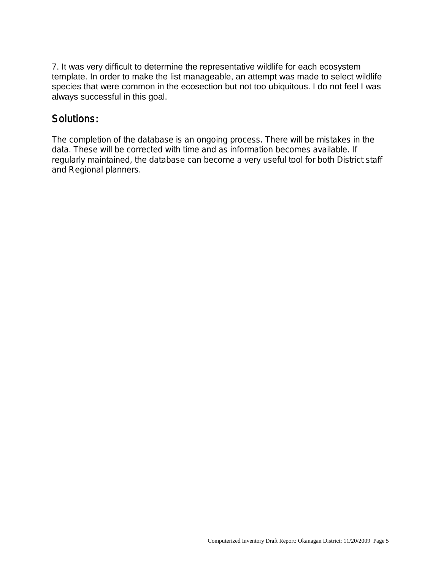7. It was very difficult to determine the representative wildlife for each ecosystem template. In order to make the list manageable, an attempt was made to select wildlife species that were common in the ecosection but not too ubiquitous. I do not feel I was always successful in this goal.

# Solutions:

The completion of the database is an ongoing process. There will be mistakes in the data. These will be corrected with time and as information becomes available. If regularly maintained, the database can become a very useful tool for both District staff and Regional planners.